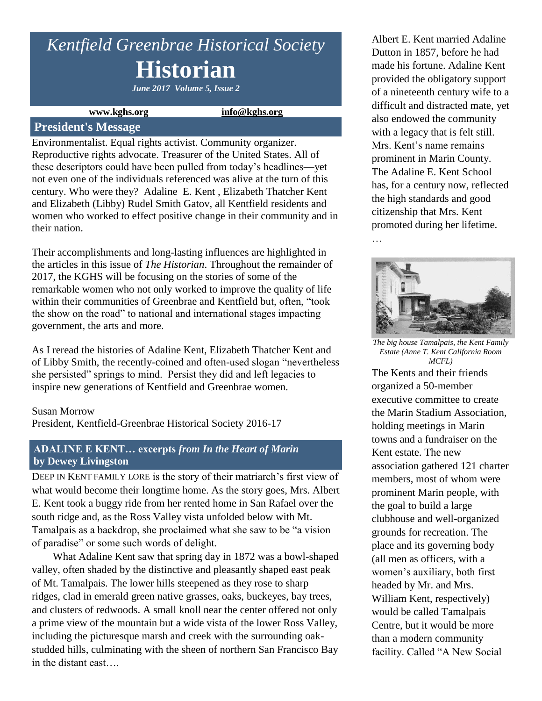# *Kentfield Greenbrae Historical Society* **Historian**

*June 2017 Volume 5, Issue 2*

**www.kghs.org [info@kghs.org](mailto:info@kghs.org)**

#### **President's Message**

Environmentalist. Equal rights activist. Community organizer. Reproductive rights advocate. Treasurer of the United States. All of these descriptors could have been pulled from today's headlines—yet not even one of the individuals referenced was alive at the turn of this century. Who were they? Adaline E. Kent , Elizabeth Thatcher Kent and Elizabeth (Libby) Rudel Smith Gatov, all Kentfield residents and women who worked to effect positive change in their community and in their nation.

Their accomplishments and long-lasting influences are highlighted in the articles in this issue of *The Historian*. Throughout the remainder of 2017, the KGHS will be focusing on the stories of some of the remarkable women who not only worked to improve the quality of life within their communities of Greenbrae and Kentfield but, often, "took the show on the road" to national and international stages impacting government, the arts and more.

As I reread the histories of Adaline Kent, Elizabeth Thatcher Kent and of Libby Smith, the recently-coined and often-used slogan "nevertheless she persisted" springs to mind. Persist they did and left legacies to inspire new generations of Kentfield and Greenbrae women.

#### Susan Morrow

President, Kentfield-Greenbrae Historical Society 2016-17

### **ADALINE E KENT… excerpts** *from In the Heart of Marin* **by Dewey Livingston**

DEEP IN KENT FAMILY LORE is the story of their matriarch's first view of what would become their longtime home. As the story goes, Mrs. Albert E. Kent took a buggy ride from her rented home in San Rafael over the south ridge and, as the Ross Valley vista unfolded below with Mt. Tamalpais as a backdrop, she proclaimed what she saw to be "a vision of paradise" or some such words of delight.

What Adaline Kent saw that spring day in 1872 was a bowl-shaped valley, often shaded by the distinctive and pleasantly shaped east peak of Mt. Tamalpais. The lower hills steepened as they rose to sharp ridges, clad in emerald green native grasses, oaks, buckeyes, bay trees, and clusters of redwoods. A small knoll near the center offered not only a prime view of the mountain but a wide vista of the lower Ross Valley, including the picturesque marsh and creek with the surrounding oakstudded hills, culminating with the sheen of northern San Francisco Bay in the distant east….

Albert E. Kent married Adaline Dutton in 1857, before he had made his fortune. Adaline Kent provided the obligatory support of a nineteenth century wife to a difficult and distracted mate, yet also endowed the community with a legacy that is felt still. Mrs. Kent's name remains prominent in Marin County. The Adaline E. Kent School has, for a century now, reflected the high standards and good citizenship that Mrs. Kent promoted during her lifetime.



…

*The big house Tamalpais, the Kent Family Estate (Anne T. Kent California Room MCFL)*

The Kents and their friends organized a 50-member executive committee to create the Marin Stadium Association, holding meetings in Marin towns and a fundraiser on the Kent estate. The new association gathered 121 charter members, most of whom were prominent Marin people, with the goal to build a large clubhouse and well-organized grounds for recreation. The place and its governing body (all men as officers, with a women's auxiliary, both first headed by Mr. and Mrs. William Kent, respectively) would be called Tamalpais Centre, but it would be more than a modern community facility. Called "A New Social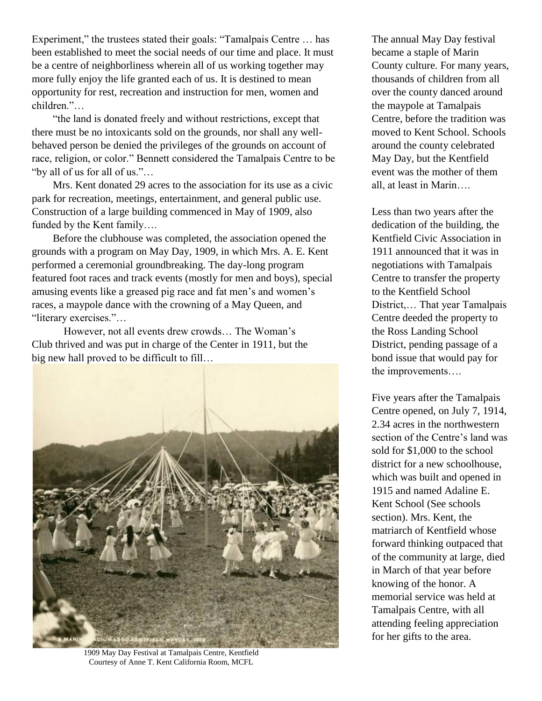Experiment," the trustees stated their goals: "Tamalpais Centre ... has been established to meet the social needs of our time and place. It must be a centre of neighborliness wherein all of us working together may more fully enjoy the life granted each of us. It is destined to mean opportunity for rest, recreation and instruction for men, women and children."…

"the land is donated freely and without restrictions, except that there must be no intoxicants sold on the grounds, nor shall any wellbehaved person be denied the privileges of the grounds on account of race, religion, or color." Bennett considered the Tamalpais Centre to be "by all of us for all of us."…

Mrs. Kent donated 29 acres to the association for its use as a civic park for recreation, meetings, entertainment, and general public use. Construction of a large building commenced in May of 1909, also funded by the Kent family….

Before the clubhouse was completed, the association opened the grounds with a program on May Day, 1909, in which Mrs. A. E. Kent performed a ceremonial groundbreaking. The day-long program featured foot races and track events (mostly for men and boys), special amusing events like a greased pig race and fat men's and women's races, a maypole dance with the crowning of a May Queen, and "literary exercises."…

However, not all events drew crowds… The Woman's Club thrived and was put in charge of the Center in 1911, but the big new hall proved to be difficult to fill...



1909 May Day Festival at Tamalpais Centre, Kentfield Courtesy of Anne T. Kent California Room, MCFL

The annual May Day festival became a staple of Marin County culture. For many years, thousands of children from all over the county danced around the maypole at Tamalpais Centre, before the tradition was moved to Kent School. Schools around the county celebrated May Day, but the Kentfield event was the mother of them all, at least in Marin….

Less than two years after the dedication of the building, the Kentfield Civic Association in 1911 announced that it was in negotiations with Tamalpais Centre to transfer the property to the Kentfield School District,… That year Tamalpais Centre deeded the property to the Ross Landing School District, pending passage of a bond issue that would pay for the improvements….

Five years after the Tamalpais Centre opened, on July 7, 1914, 2.34 acres in the northwestern section of the Centre's land was sold for \$1,000 to the school district for a new schoolhouse, which was built and opened in 1915 and named Adaline E. Kent School (See schools section). Mrs. Kent, the matriarch of Kentfield whose forward thinking outpaced that of the community at large, died in March of that year before knowing of the honor. A memorial service was held at Tamalpais Centre, with all attending feeling appreciation for her gifts to the area.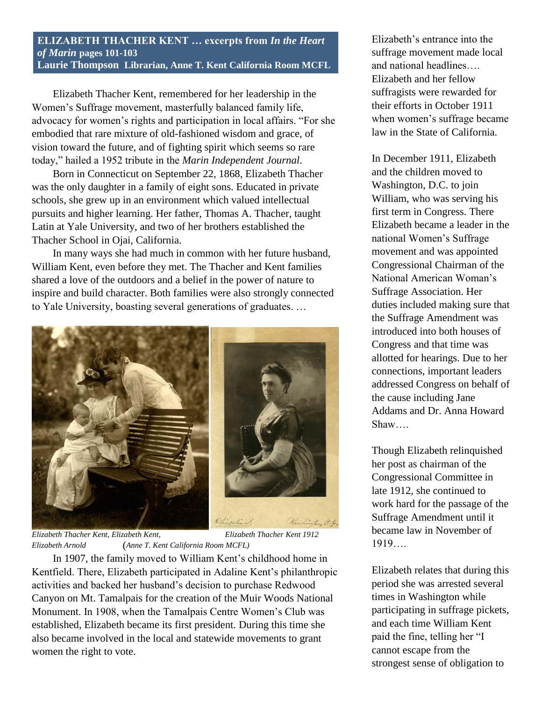#### **ELIZABETH THACHER KENT … excerpts from** *In the Heart of Marin* **pages 101-103 Laurie Thompson Librarian, Anne T. Kent California Room MCFL**

Elizabeth Thacher Kent, remembered for her leadership in the Women's Suffrage movement, masterfully balanced family life, advocacy for women's rights and participation in local affairs. "For she embodied that rare mixture of old-fashioned wisdom and grace, of vision toward the future, and of fighting spirit which seems so rare today," hailed a 1952 tribute in the *Marin Independent Journal*.

Born in Connecticut on September 22, 1868, Elizabeth Thacher was the only daughter in a family of eight sons. Educated in private schools, she grew up in an environment which valued intellectual pursuits and higher learning. Her father, Thomas A. Thacher, taught Latin at Yale University, and two of her brothers established the Thacher School in Ojai, California.

In many ways she had much in common with her future husband, William Kent, even before they met. The Thacher and Kent families shared a love of the outdoors and a belief in the power of nature to inspire and build character. Both families were also strongly connected to Yale University, boasting several generations of graduates. …



*Elizabeth Thacher Kent, Elizabeth Kent, Elizabeth Thacher Kent 1912 Elizabeth Arnold* (*Anne T. Kent California Room MCFL)*

In 1907, the family moved to William Kent's childhood home in Kentfield. There, Elizabeth participated in Adaline Kent's philanthropic activities and backed her husband's decision to purchase Redwood Canyon on Mt. Tamalpais for the creation of the Muir Woods National Monument. In 1908, when the Tamalpais Centre Women's Club was established, Elizabeth became its first president. During this time she also became involved in the local and statewide movements to grant women the right to vote.

Elizabeth's entrance into the suffrage movement made local and national headlines…. Elizabeth and her fellow suffragists were rewarded for their efforts in October 1911 when women's suffrage became law in the State of California.

In December 1911, Elizabeth and the children moved to Washington, D.C. to join William, who was serving his first term in Congress. There Elizabeth became a leader in the national Women's Suffrage movement and was appointed Congressional Chairman of the National American Woman's Suffrage Association. Her duties included making sure that the Suffrage Amendment was introduced into both houses of Congress and that time was allotted for hearings. Due to her connections, important leaders addressed Congress on behalf of the cause including Jane Addams and Dr. Anna Howard Shaw….

Though Elizabeth relinquished her post as chairman of the Congressional Committee in late 1912, she continued to work hard for the passage of the Suffrage Amendment until it became law in November of 1919….

Elizabeth relates that during this period she was arrested several times in Washington while participating in suffrage pickets, and each time William Kent paid the fine, telling her "I cannot escape from the strongest sense of obligation to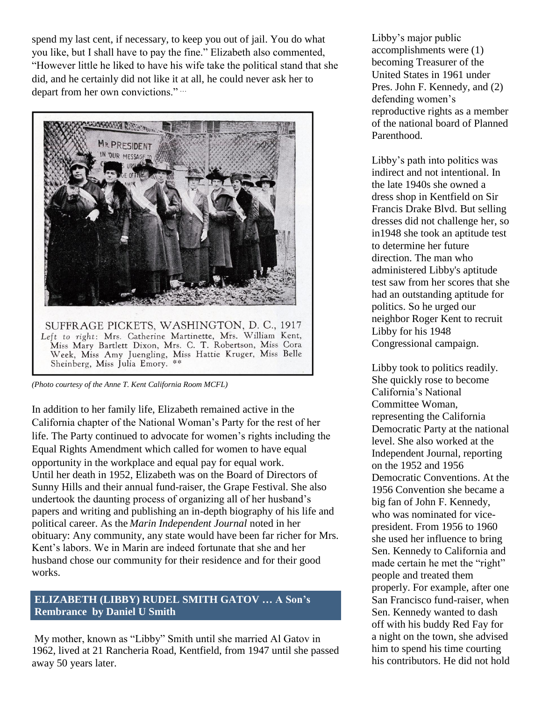spend my last cent, if necessary, to keep you out of jail. You do what you like, but I shall have to pay the fine." Elizabeth also commented, "However little he liked to have his wife take the political stand that she did, and he certainly did not like it at all, he could never ask her to depart from her own convictions." …



*(Photo courtesy of the Anne T. Kent California Room MCFL)*

In addition to her family life, Elizabeth remained active in the California chapter of the National Woman's Party for the rest of her life. The Party continued to advocate for women's rights including the Equal Rights Amendment which called for women to have equal opportunity in the workplace and equal pay for equal work. Until her death in 1952, Elizabeth was on the Board of Directors of Sunny Hills and their annual fund-raiser, the Grape Festival. She also undertook the daunting process of organizing all of her husband's papers and writing and publishing an in-depth biography of his life and political career. As the *Marin Independent Journal* noted in her obituary: Any community, any state would have been far richer for Mrs. Kent's labors. We in Marin are indeed fortunate that she and her husband chose our community for their residence and for their good works.

### **ELIZABETH (LIBBY) RUDEL SMITH GATOV … A Son's Rembrance by Daniel U Smith**

My mother, known as "Libby" Smith until she married Al Gatov in 1962, lived at 21 Rancheria Road, Kentfield, from 1947 until she passed away 50 years later.

Libby's major public accomplishments were (1) becoming Treasurer of the United States in 1961 under Pres. John F. Kennedy, and (2) defending women's reproductive rights as a member of the national board of Planned Parenthood.

Libby's path into politics was indirect and not intentional. In the late 1940s she owned a dress shop in Kentfield on Sir Francis Drake Blvd. But selling dresses did not challenge her, so in1948 she took an aptitude test to determine her future direction. The man who administered Libby's aptitude test saw from her scores that she had an outstanding aptitude for politics. So he urged our neighbor Roger Kent to recruit Libby for his 1948 Congressional campaign.

Libby took to politics readily. She quickly rose to become California's National Committee Woman, representing the California Democratic Party at the national level. She also worked at the Independent Journal, reporting on the 1952 and 1956 Democratic Conventions. At the 1956 Convention she became a big fan of John F. Kennedy, who was nominated for vicepresident. From 1956 to 1960 she used her influence to bring Sen. Kennedy to California and made certain he met the "right" people and treated them properly. For example, after one San Francisco fund-raiser, when Sen. Kennedy wanted to dash off with his buddy Red Fay for a night on the town, she advised him to spend his time courting his contributors. He did not hold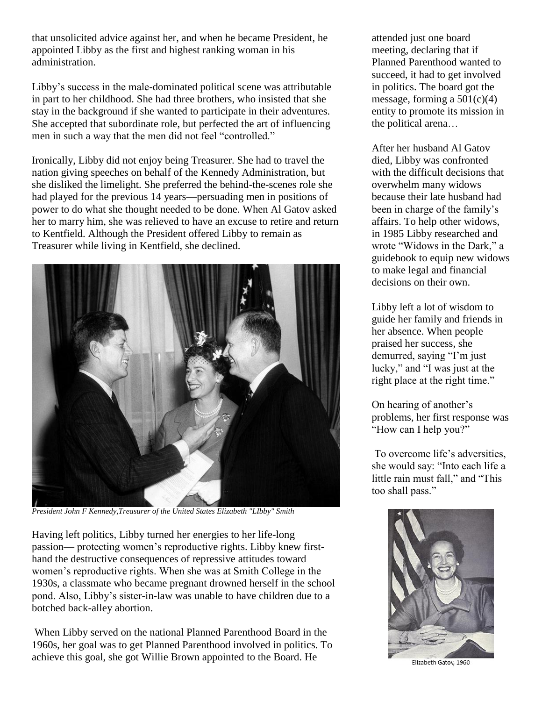that unsolicited advice against her, and when he became President, he appointed Libby as the first and highest ranking woman in his administration.

Libby's success in the male-dominated political scene was attributable in part to her childhood. She had three brothers, who insisted that she stay in the background if she wanted to participate in their adventures. She accepted that subordinate role, but perfected the art of influencing men in such a way that the men did not feel "controlled."

Ironically, Libby did not enjoy being Treasurer. She had to travel the nation giving speeches on behalf of the Kennedy Administration, but she disliked the limelight. She preferred the behind-the-scenes role she had played for the previous 14 years—persuading men in positions of power to do what she thought needed to be done. When Al Gatov asked her to marry him, she was relieved to have an excuse to retire and return to Kentfield. Although the President offered Libby to remain as Treasurer while living in Kentfield, she declined.



*President John F Kennedy,Treasurer of the United States Elizabeth "LIbby" Smith*

Having left politics, Libby turned her energies to her life-long passion— protecting women's reproductive rights. Libby knew firsthand the destructive consequences of repressive attitudes toward women's reproductive rights. When she was at Smith College in the 1930s, a classmate who became pregnant drowned herself in the school pond. Also, Libby's sister-in-law was unable to have children due to a botched back-alley abortion.

When Libby served on the national Planned Parenthood Board in the 1960s, her goal was to get Planned Parenthood involved in politics. To achieve this goal, she got Willie Brown appointed to the Board. He

attended just one board meeting, declaring that if Planned Parenthood wanted to succeed, it had to get involved in politics. The board got the message, forming a  $501(c)(4)$ entity to promote its mission in the political arena…

After her husband Al Gatov died, Libby was confronted with the difficult decisions that overwhelm many widows because their late husband had been in charge of the family's affairs. To help other widows, in 1985 Libby researched and wrote "Widows in the Dark," a guidebook to equip new widows to make legal and financial decisions on their own.

Libby left a lot of wisdom to guide her family and friends in her absence. When people praised her success, she demurred, saying "I'm just lucky," and "I was just at the right place at the right time."

On hearing of another's problems, her first response was "How can I help you?"

To overcome life's adversities, she would say: "Into each life a little rain must fall," and "This too shall pass."



Elizabeth Gatov, 1960